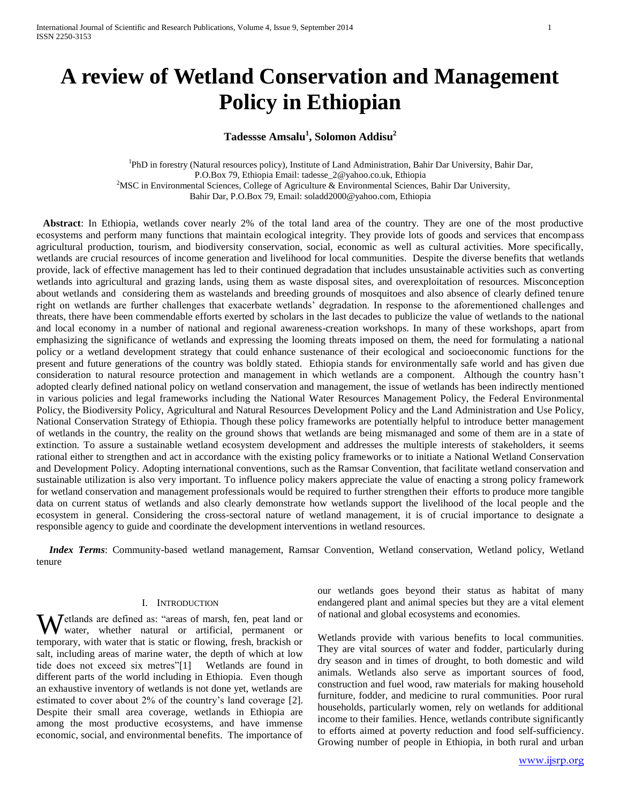# **A review of Wetland Conservation and Management Policy in Ethiopian**

## **Tadessse Amsalu 1 , Solomon Addisu<sup>2</sup>**

<sup>1</sup>PhD in forestry (Natural resources policy), Institute of Land Administration, Bahir Dar University, Bahir Dar, P.O.Box 79, Ethiopia Email[: tadesse\\_2@yahoo.co.uk,](mailto:tadesse_2@yahoo.co.uk) Ethiopia <sup>2</sup>MSC in Environmental Sciences, College of Agriculture & Environmental Sciences, Bahir Dar University, Bahir Dar, P.O.Box 79, Email[: soladd2000@yahoo.com,](mailto:soladd2000@yahoo.com) Ethiopia

 **Abstract**: In Ethiopia, wetlands cover nearly 2% of the total land area of the country. They are one of the most productive ecosystems and perform many functions that maintain ecological integrity. They provide lots of goods and services that encompass agricultural production, tourism, and biodiversity conservation, social, economic as well as cultural activities. More specifically, wetlands are crucial resources of income generation and livelihood for local communities. Despite the diverse benefits that wetlands provide, lack of effective management has led to their continued degradation that includes unsustainable activities such as converting wetlands into agricultural and grazing lands, using them as waste disposal sites, and overexploitation of resources. Misconception about wetlands and considering them as wastelands and breeding grounds of mosquitoes and also absence of clearly defined tenure right on wetlands are further challenges that exacerbate wetlands' degradation. In response to the aforementioned challenges and threats, there have been commendable efforts exerted by scholars in the last decades to publicize the value of wetlands to the national and local economy in a number of national and regional awareness-creation workshops. In many of these workshops, apart from emphasizing the significance of wetlands and expressing the looming threats imposed on them, the need for formulating a national policy or a wetland development strategy that could enhance sustenance of their ecological and socioeconomic functions for the present and future generations of the country was boldly stated. Ethiopia stands for environmentally safe world and has given due consideration to natural resource protection and management in which wetlands are a component. Although the country hasn't adopted clearly defined national policy on wetland conservation and management, the issue of wetlands has been indirectly mentioned in various policies and legal frameworks including the National Water Resources Management Policy, the Federal Environmental Policy, the Biodiversity Policy, Agricultural and Natural Resources Development Policy and the Land Administration and Use Policy, National Conservation Strategy of Ethiopia. Though these policy frameworks are potentially helpful to introduce better management of wetlands in the country, the reality on the ground shows that wetlands are being mismanaged and some of them are in a state of extinction. To assure a sustainable wetland ecosystem development and addresses the multiple interests of stakeholders, it seems rational either to strengthen and act in accordance with the existing policy frameworks or to initiate a National Wetland Conservation and Development Policy. Adopting international conventions, such as the Ramsar Convention, that facilitate wetland conservation and sustainable utilization is also very important. To influence policy makers appreciate the value of enacting a strong policy framework for wetland conservation and management professionals would be required to further strengthen their efforts to produce more tangible data on current status of wetlands and also clearly demonstrate how wetlands support the livelihood of the local people and the ecosystem in general. Considering the cross-sectoral nature of wetland management, it is of crucial importance to designate a responsible agency to guide and coordinate the development interventions in wetland resources.

 *Index Terms*: Community-based wetland management, Ramsar Convention, Wetland conservation, Wetland policy, Wetland tenure

#### I. INTRODUCTION

Wetlands are defined as: "areas of marsh, fen, peat land or water, whether natural or artificial, permanent or water, whether natural or artificial, permanent or temporary, with water that is static or flowing, fresh, brackish or salt, including areas of marine water, the depth of which at low tide does not exceed six metres"[1] Wetlands are found in different parts of the world including in Ethiopia. Even though an exhaustive inventory of wetlands is not done yet, wetlands are estimated to cover about 2% of the country's land coverage [2]. Despite their small area coverage, wetlands in Ethiopia are among the most productive ecosystems, and have immense economic, social, and environmental benefits. The importance of

our wetlands goes beyond their status as habitat of many endangered plant and animal species but they are a vital element of national and global ecosystems and economies.

Wetlands provide with various benefits to local communities. They are vital sources of water and fodder, particularly during dry season and in times of drought, to both domestic and wild animals. Wetlands also serve as important sources of food, construction and fuel wood, raw materials for making household furniture, fodder, and medicine to rural communities. Poor rural households, particularly women, rely on wetlands for additional income to their families. Hence, wetlands contribute significantly to efforts aimed at poverty reduction and food self-sufficiency. Growing number of people in Ethiopia, in both rural and urban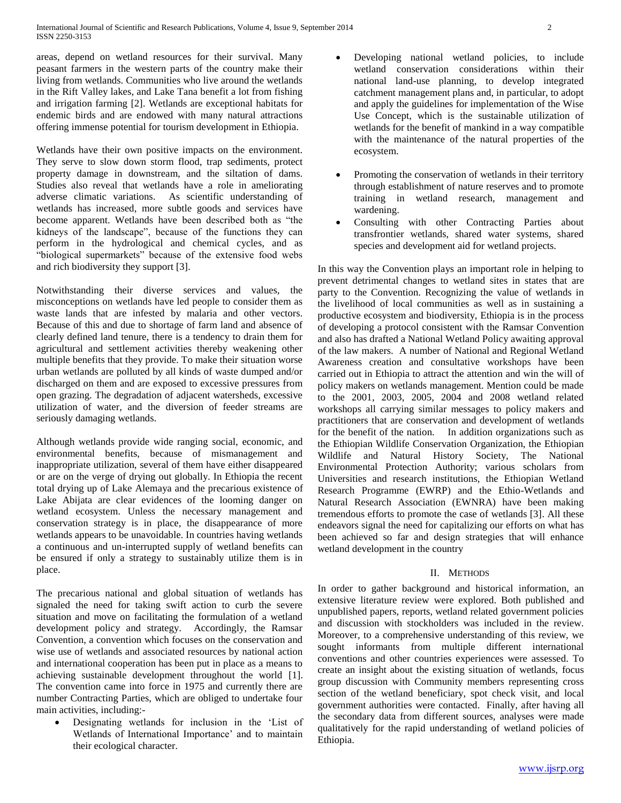areas, depend on wetland resources for their survival. Many peasant farmers in the western parts of the country make their living from wetlands. Communities who live around the wetlands in the Rift Valley lakes, and Lake Tana benefit a lot from fishing and irrigation farming [2]. Wetlands are exceptional habitats for endemic birds and are endowed with many natural attractions offering immense potential for tourism development in Ethiopia.

Wetlands have their own positive impacts on the environment. They serve to slow down storm flood, trap sediments, protect property damage in downstream, and the siltation of dams. Studies also reveal that wetlands have a role in ameliorating adverse climatic variations. As scientific understanding of wetlands has increased, more subtle goods and services have become apparent. Wetlands have been described both as "the kidneys of the landscape", because of the functions they can perform in the hydrological and chemical cycles, and as "biological supermarkets" because of the extensive food webs and rich biodiversity they support [3].

Notwithstanding their diverse services and values, the misconceptions on wetlands have led people to consider them as waste lands that are infested by malaria and other vectors. Because of this and due to shortage of farm land and absence of clearly defined land tenure, there is a tendency to drain them for agricultural and settlement activities thereby weakening other multiple benefits that they provide. To make their situation worse urban wetlands are polluted by all kinds of waste dumped and/or discharged on them and are exposed to excessive pressures from open grazing. The degradation of adjacent watersheds, excessive utilization of water, and the diversion of feeder streams are seriously damaging wetlands.

Although wetlands provide wide ranging social, economic, and environmental benefits, because of mismanagement and inappropriate utilization, several of them have either disappeared or are on the verge of drying out globally. In Ethiopia the recent total drying up of Lake Alemaya and the precarious existence of Lake Abijata are clear evidences of the looming danger on wetland ecosystem. Unless the necessary management and conservation strategy is in place, the disappearance of more wetlands appears to be unavoidable. In countries having wetlands a continuous and un-interrupted supply of wetland benefits can be ensured if only a strategy to sustainably utilize them is in place.

The precarious national and global situation of wetlands has signaled the need for taking swift action to curb the severe situation and move on facilitating the formulation of a wetland development policy and strategy. Accordingly, the Ramsar Convention, a convention which focuses on the conservation and wise use of wetlands and associated resources by national action and international cooperation has been put in place as a means to achieving sustainable development throughout the world [1]. The convention came into force in 1975 and currently there are number Contracting Parties, which are obliged to undertake four main activities, including:-

 Designating wetlands for inclusion in the 'List of Wetlands of International Importance' and to maintain their ecological character.

- Developing national wetland policies, to include wetland conservation considerations within their national land-use planning, to develop integrated catchment management plans and, in particular, to adopt and apply the guidelines for implementation of the Wise Use Concept, which is the sustainable utilization of wetlands for the benefit of mankind in a way compatible with the maintenance of the natural properties of the ecosystem.
- Promoting the conservation of wetlands in their territory through establishment of nature reserves and to promote training in wetland research, management and wardening.
- Consulting with other Contracting Parties about transfrontier wetlands, shared water systems, shared species and development aid for wetland projects.

In this way the Convention plays an important role in helping to prevent detrimental changes to wetland sites in states that are party to the Convention. Recognizing the value of wetlands in the livelihood of local communities as well as in sustaining a productive ecosystem and biodiversity, Ethiopia is in the process of developing a protocol consistent with the Ramsar Convention and also has drafted a National Wetland Policy awaiting approval of the law makers. A number of National and Regional Wetland Awareness creation and consultative workshops have been carried out in Ethiopia to attract the attention and win the will of policy makers on wetlands management. Mention could be made to the 2001, 2003, 2005, 2004 and 2008 wetland related workshops all carrying similar messages to policy makers and practitioners that are conservation and development of wetlands for the benefit of the nation. In addition organizations such as the Ethiopian Wildlife Conservation Organization, the Ethiopian Wildlife and Natural History Society, The National Environmental Protection Authority; various scholars from Universities and research institutions, the Ethiopian Wetland Research Programme (EWRP) and the Ethio-Wetlands and Natural Research Association (EWNRA) have been making tremendous efforts to promote the case of wetlands [3]. All these endeavors signal the need for capitalizing our efforts on what has been achieved so far and design strategies that will enhance wetland development in the country

### II. METHODS

In order to gather background and historical information, an extensive literature review were explored. Both published and unpublished papers, reports, wetland related government policies and discussion with stockholders was included in the review. Moreover, to a comprehensive understanding of this review, we sought informants from multiple different international conventions and other countries experiences were assessed. To create an insight about the existing situation of wetlands, focus group discussion with Community members representing cross section of the wetland beneficiary, spot check visit, and local government authorities were contacted. Finally, after having all the secondary data from different sources, analyses were made qualitatively for the rapid understanding of wetland policies of Ethiopia.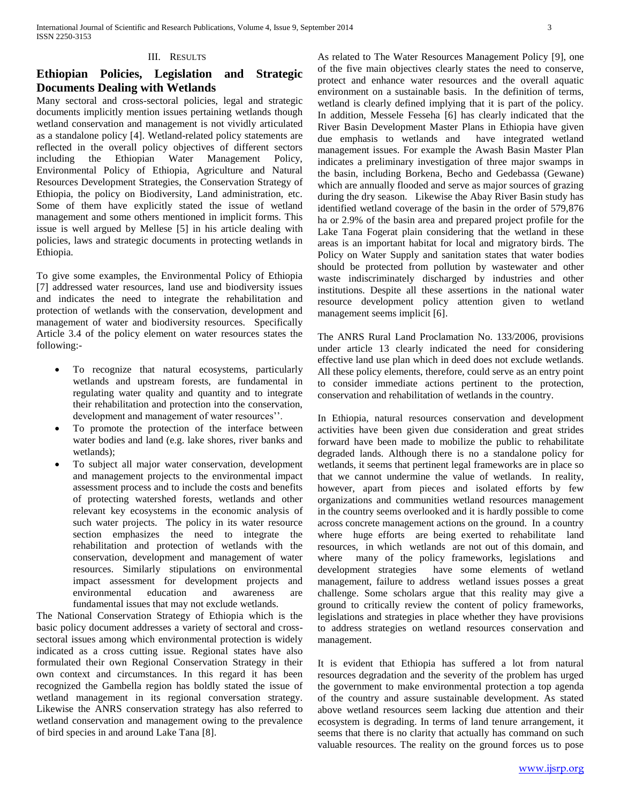## III. RESULTS

# **Ethiopian Policies, Legislation and Strategic Documents Dealing with Wetlands**

Many sectoral and cross-sectoral policies, legal and strategic documents implicitly mention issues pertaining wetlands though wetland conservation and management is not vividly articulated as a standalone policy [4]. Wetland-related policy statements are reflected in the overall policy objectives of different sectors including the Ethiopian Water Management Policy, Environmental Policy of Ethiopia, Agriculture and Natural Resources Development Strategies, the Conservation Strategy of Ethiopia, the policy on Biodiversity, Land administration, etc. Some of them have explicitly stated the issue of wetland management and some others mentioned in implicit forms. This issue is well argued by Mellese [5] in his article dealing with policies, laws and strategic documents in protecting wetlands in Ethiopia.

To give some examples, the Environmental Policy of Ethiopia [7] addressed water resources, land use and biodiversity issues and indicates the need to integrate the rehabilitation and protection of wetlands with the conservation, development and management of water and biodiversity resources. Specifically Article 3.4 of the policy element on water resources states the following:-

- To recognize that natural ecosystems, particularly wetlands and upstream forests, are fundamental in regulating water quality and quantity and to integrate their rehabilitation and protection into the conservation, development and management of water resources''.
- To promote the protection of the interface between water bodies and land (e.g. lake shores, river banks and wetlands);
- To subject all major water conservation, development and management projects to the environmental impact assessment process and to include the costs and benefits of protecting watershed forests, wetlands and other relevant key ecosystems in the economic analysis of such water projects. The policy in its water resource section emphasizes the need to integrate the rehabilitation and protection of wetlands with the conservation, development and management of water resources. Similarly stipulations on environmental impact assessment for development projects and environmental education and awareness are fundamental issues that may not exclude wetlands.

The National Conservation Strategy of Ethiopia which is the basic policy document addresses a variety of sectoral and crosssectoral issues among which environmental protection is widely indicated as a cross cutting issue. Regional states have also formulated their own Regional Conservation Strategy in their own context and circumstances. In this regard it has been recognized the Gambella region has boldly stated the issue of wetland management in its regional conversation strategy. Likewise the ANRS conservation strategy has also referred to wetland conservation and management owing to the prevalence of bird species in and around Lake Tana [8].

As related to The Water Resources Management Policy [9], one of the five main objectives clearly states the need to conserve, protect and enhance water resources and the overall aquatic environment on a sustainable basis. In the definition of terms, wetland is clearly defined implying that it is part of the policy. In addition, Messele Fesseha [6] has clearly indicated that the River Basin Development Master Plans in Ethiopia have given due emphasis to wetlands and have integrated wetland management issues. For example the Awash Basin Master Plan indicates a preliminary investigation of three major swamps in the basin, including Borkena, Becho and Gedebassa (Gewane) which are annually flooded and serve as major sources of grazing during the dry season. Likewise the Abay River Basin study has identified wetland coverage of the basin in the order of 579,876 ha or 2.9% of the basin area and prepared project profile for the Lake Tana Fogerat plain considering that the wetland in these areas is an important habitat for local and migratory birds. The Policy on Water Supply and sanitation states that water bodies should be protected from pollution by wastewater and other waste indiscriminately discharged by industries and other institutions. Despite all these assertions in the national water resource development policy attention given to wetland management seems implicit [6].

The ANRS Rural Land Proclamation No. 133/2006, provisions under article 13 clearly indicated the need for considering effective land use plan which in deed does not exclude wetlands. All these policy elements, therefore, could serve as an entry point to consider immediate actions pertinent to the protection, conservation and rehabilitation of wetlands in the country.

In Ethiopia, natural resources conservation and development activities have been given due consideration and great strides forward have been made to mobilize the public to rehabilitate degraded lands. Although there is no a standalone policy for wetlands, it seems that pertinent legal frameworks are in place so that we cannot undermine the value of wetlands. In reality, however, apart from pieces and isolated efforts by few organizations and communities wetland resources management in the country seems overlooked and it is hardly possible to come across concrete management actions on the ground. In a country where huge efforts are being exerted to rehabilitate land resources, in which wetlands are not out of this domain, and where many of the policy frameworks, legislations and development strategies have some elements of wetland management, failure to address wetland issues posses a great challenge. Some scholars argue that this reality may give a ground to critically review the content of policy frameworks, legislations and strategies in place whether they have provisions to address strategies on wetland resources conservation and management.

It is evident that Ethiopia has suffered a lot from natural resources degradation and the severity of the problem has urged the government to make environmental protection a top agenda of the country and assure sustainable development. As stated above wetland resources seem lacking due attention and their ecosystem is degrading. In terms of land tenure arrangement, it seems that there is no clarity that actually has command on such valuable resources. The reality on the ground forces us to pose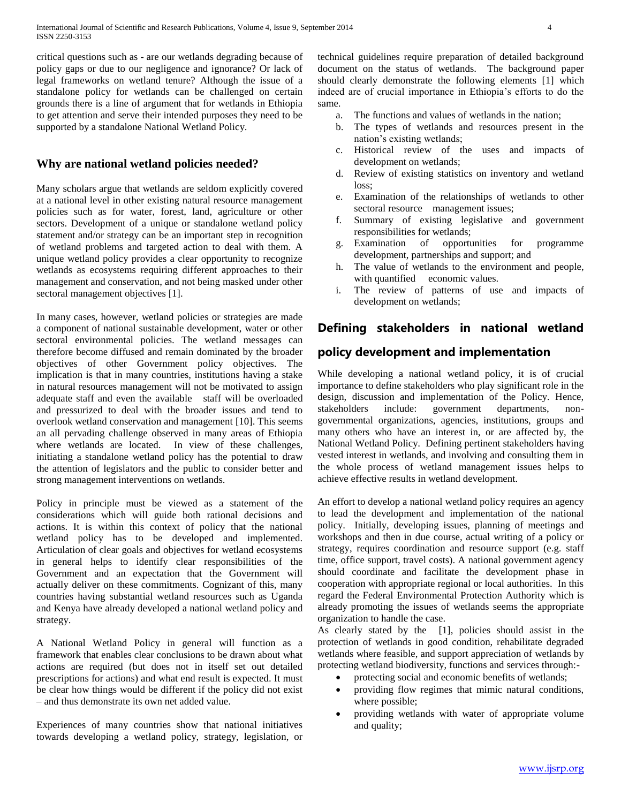critical questions such as - are our wetlands degrading because of policy gaps or due to our negligence and ignorance? Or lack of legal frameworks on wetland tenure? Although the issue of a standalone policy for wetlands can be challenged on certain grounds there is a line of argument that for wetlands in Ethiopia to get attention and serve their intended purposes they need to be supported by a standalone National Wetland Policy.

## **Why are national wetland policies needed?**

Many scholars argue that wetlands are seldom explicitly covered at a national level in other existing natural resource management policies such as for water, forest, land, agriculture or other sectors. Development of a unique or standalone wetland policy statement and/or strategy can be an important step in recognition of wetland problems and targeted action to deal with them. A unique wetland policy provides a clear opportunity to recognize wetlands as ecosystems requiring different approaches to their management and conservation, and not being masked under other sectoral management objectives [1].

In many cases, however, wetland policies or strategies are made a component of national sustainable development, water or other sectoral environmental policies. The wetland messages can therefore become diffused and remain dominated by the broader objectives of other Government policy objectives. The implication is that in many countries, institutions having a stake in natural resources management will not be motivated to assign adequate staff and even the available staff will be overloaded and pressurized to deal with the broader issues and tend to overlook wetland conservation and management [10]. This seems an all pervading challenge observed in many areas of Ethiopia where wetlands are located. In view of these challenges, initiating a standalone wetland policy has the potential to draw the attention of legislators and the public to consider better and strong management interventions on wetlands.

Policy in principle must be viewed as a statement of the considerations which will guide both rational decisions and actions. It is within this context of policy that the national wetland policy has to be developed and implemented. Articulation of clear goals and objectives for wetland ecosystems in general helps to identify clear responsibilities of the Government and an expectation that the Government will actually deliver on these commitments. Cognizant of this, many countries having substantial wetland resources such as Uganda and Kenya have already developed a national wetland policy and strategy.

A National Wetland Policy in general will function as a framework that enables clear conclusions to be drawn about what actions are required (but does not in itself set out detailed prescriptions for actions) and what end result is expected. It must be clear how things would be different if the policy did not exist – and thus demonstrate its own net added value.

Experiences of many countries show that national initiatives towards developing a wetland policy, strategy, legislation, or technical guidelines require preparation of detailed background document on the status of wetlands. The background paper should clearly demonstrate the following elements [1] which indeed are of crucial importance in Ethiopia's efforts to do the same.

- a. The functions and values of wetlands in the nation;
- b. The types of wetlands and resources present in the nation's existing wetlands;
- c. Historical review of the uses and impacts of development on wetlands;
- d. Review of existing statistics on inventory and wetland loss;
- e. Examination of the relationships of wetlands to other sectoral resource management issues;
- f. Summary of existing legislative and government responsibilities for wetlands;
- g. Examination of opportunities for programme development, partnerships and support; and
- h. The value of wetlands to the environment and people, with quantified economic values.
- i. The review of patterns of use and impacts of development on wetlands;

# **Defining stakeholders in national wetland**

## **policy development and implementation**

While developing a national wetland policy, it is of crucial importance to define stakeholders who play significant role in the design, discussion and implementation of the Policy. Hence, stakeholders include: government departments, nongovernmental organizations, agencies, institutions, groups and many others who have an interest in, or are affected by, the National Wetland Policy. Defining pertinent stakeholders having vested interest in wetlands, and involving and consulting them in the whole process of wetland management issues helps to achieve effective results in wetland development.

An effort to develop a national wetland policy requires an agency to lead the development and implementation of the national policy. Initially, developing issues, planning of meetings and workshops and then in due course, actual writing of a policy or strategy, requires coordination and resource support (e.g. staff time, office support, travel costs). A national government agency should coordinate and facilitate the development phase in cooperation with appropriate regional or local authorities. In this regard the Federal Environmental Protection Authority which is already promoting the issues of wetlands seems the appropriate organization to handle the case.

As clearly stated by the [1], policies should assist in the protection of wetlands in good condition, rehabilitate degraded wetlands where feasible, and support appreciation of wetlands by protecting wetland biodiversity, functions and services through:-

- protecting social and economic benefits of wetlands;
- providing flow regimes that mimic natural conditions, where possible;
- providing wetlands with water of appropriate volume and quality;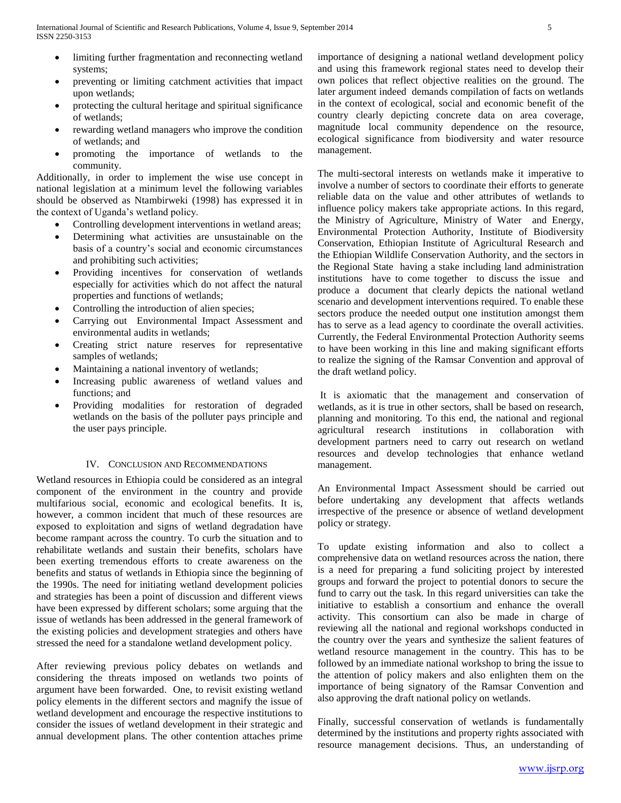- limiting further fragmentation and reconnecting wetland systems;
- preventing or limiting catchment activities that impact upon wetlands;
- protecting the cultural heritage and spiritual significance of wetlands;
- rewarding wetland managers who improve the condition of wetlands; and
- promoting the importance of wetlands to the community.

Additionally, in order to implement the wise use concept in national legislation at a minimum level the following variables should be observed as Ntambirweki (1998) has expressed it in the context of Uganda's wetland policy.

- Controlling development interventions in wetland areas;
- Determining what activities are unsustainable on the basis of a country's social and economic circumstances and prohibiting such activities;
- Providing incentives for conservation of wetlands especially for activities which do not affect the natural properties and functions of wetlands;
- Controlling the introduction of alien species;
- Carrying out Environmental Impact Assessment and environmental audits in wetlands;
- Creating strict nature reserves for representative samples of wetlands;
- Maintaining a national inventory of wetlands;
- Increasing public awareness of wetland values and functions; and
- Providing modalities for restoration of degraded wetlands on the basis of the polluter pays principle and the user pays principle.

#### IV. CONCLUSION AND RECOMMENDATIONS

Wetland resources in Ethiopia could be considered as an integral component of the environment in the country and provide multifarious social, economic and ecological benefits. It is, however, a common incident that much of these resources are exposed to exploitation and signs of wetland degradation have become rampant across the country. To curb the situation and to rehabilitate wetlands and sustain their benefits, scholars have been exerting tremendous efforts to create awareness on the benefits and status of wetlands in Ethiopia since the beginning of the 1990s. The need for initiating wetland development policies and strategies has been a point of discussion and different views have been expressed by different scholars; some arguing that the issue of wetlands has been addressed in the general framework of the existing policies and development strategies and others have stressed the need for a standalone wetland development policy.

After reviewing previous policy debates on wetlands and considering the threats imposed on wetlands two points of argument have been forwarded. One, to revisit existing wetland policy elements in the different sectors and magnify the issue of wetland development and encourage the respective institutions to consider the issues of wetland development in their strategic and annual development plans. The other contention attaches prime importance of designing a national wetland development policy and using this framework regional states need to develop their own polices that reflect objective realities on the ground. The later argument indeed demands compilation of facts on wetlands in the context of ecological, social and economic benefit of the country clearly depicting concrete data on area coverage, magnitude local community dependence on the resource, ecological significance from biodiversity and water resource management.

The multi-sectoral interests on wetlands make it imperative to involve a number of sectors to coordinate their efforts to generate reliable data on the value and other attributes of wetlands to influence policy makers take appropriate actions. In this regard, the Ministry of Agriculture, Ministry of Water and Energy, Environmental Protection Authority, Institute of Biodiversity Conservation, Ethiopian Institute of Agricultural Research and the Ethiopian Wildlife Conservation Authority, and the sectors in the Regional State having a stake including land administration institutions have to come together to discuss the issue and produce a document that clearly depicts the national wetland scenario and development interventions required. To enable these sectors produce the needed output one institution amongst them has to serve as a lead agency to coordinate the overall activities. Currently, the Federal Environmental Protection Authority seems to have been working in this line and making significant efforts to realize the signing of the Ramsar Convention and approval of the draft wetland policy.

It is axiomatic that the management and conservation of wetlands, as it is true in other sectors, shall be based on research, planning and monitoring. To this end, the national and regional agricultural research institutions in collaboration with development partners need to carry out research on wetland resources and develop technologies that enhance wetland management.

An Environmental Impact Assessment should be carried out before undertaking any development that affects wetlands irrespective of the presence or absence of wetland development policy or strategy.

To update existing information and also to collect a comprehensive data on wetland resources across the nation, there is a need for preparing a fund soliciting project by interested groups and forward the project to potential donors to secure the fund to carry out the task. In this regard universities can take the initiative to establish a consortium and enhance the overall activity. This consortium can also be made in charge of reviewing all the national and regional workshops conducted in the country over the years and synthesize the salient features of wetland resource management in the country. This has to be followed by an immediate national workshop to bring the issue to the attention of policy makers and also enlighten them on the importance of being signatory of the Ramsar Convention and also approving the draft national policy on wetlands.

Finally, successful conservation of wetlands is fundamentally determined by the institutions and property rights associated with resource management decisions. Thus, an understanding of